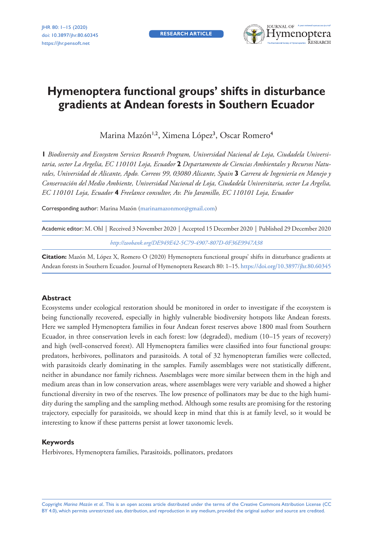**research article**



# **Hymenoptera functional groups' shifts in disturbance gradients at Andean forests in Southern Ecuador**

Marina Mazón<sup>1,2</sup>, Ximena López<sup>3</sup>, Oscar Romero<sup>4</sup>

**1** *Biodiversity and Ecosystem Services Research Program, Universidad Nacional de Loja, Ciudadela Universitaria, sector La Argelia, EC 110101 Loja, Ecuador* **2** *Departamento de Ciencias Ambientales y Recursos Naturales, Universidad de Alicante, Apdo. Correos 99, 03080 Alicante, Spain* **3** *Carrera de Ingeniería en Manejo y Conservación del Medio Ambiente, Universidad Nacional de Loja, Ciudadela Universitaria, sector La Argelia, EC 110101 Loja, Ecuador* **4** *Freelance consultor, Av. Pío Jaramillo, EC 110101 Loja, Ecuador*

Corresponding author: Marina Mazón [\(marinamazonmor@gmail.com\)](mailto:marinamazonmor@gmail.com)

| Academic editor: M. Ohl   Received 3 November 2020   Accepted 15 December 2020   Published 29 December 2020 |
|-------------------------------------------------------------------------------------------------------------|
| http://zoobank.org/DE949E42-5C79-4907-807D-0F36E9947A38                                                     |

**Citation:** Mazón M, López X, Romero O (2020) Hymenoptera functional groups' shifts in disturbance gradients at Andean forests in Southern Ecuador. Journal of Hymenoptera Research 80: 1–15. [https://doi.org/10.3897/jhr.80.60345](https://doi.org/%18)

#### **Abstract**

Ecosystems under ecological restoration should be monitored in order to investigate if the ecosystem is being functionally recovered, especially in highly vulnerable biodiversity hotspots like Andean forests. Here we sampled Hymenoptera families in four Andean forest reserves above 1800 masl from Southern Ecuador, in three conservation levels in each forest: low (degraded), medium (10–15 years of recovery) and high (well-conserved forest). All Hymenoptera families were classified into four functional groups: predators, herbivores, pollinators and parasitoids. A total of 32 hymenopteran families were collected, with parasitoids clearly dominating in the samples. Family assemblages were not statistically different, neither in abundance nor family richness. Assemblages were more similar between them in the high and medium areas than in low conservation areas, where assemblages were very variable and showed a higher functional diversity in two of the reserves. The low presence of pollinators may be due to the high humidity during the sampling and the sampling method. Although some results are promising for the restoring trajectory, especially for parasitoids, we should keep in mind that this is at family level, so it would be interesting to know if these patterns persist at lower taxonomic levels.

#### **Keywords**

Herbivores, Hymenoptera families, Parasitoids, pollinators, predators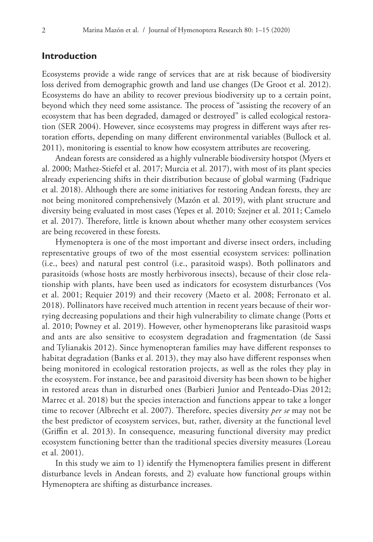# **Introduction**

Ecosystems provide a wide range of services that are at risk because of biodiversity loss derived from demographic growth and land use changes (De Groot et al. 2012). Ecosystems do have an ability to recover previous biodiversity up to a certain point, beyond which they need some assistance. The process of "assisting the recovery of an ecosystem that has been degraded, damaged or destroyed" is called ecological restoration (SER 2004). However, since ecosystems may progress in different ways after restoration efforts, depending on many different environmental variables (Bullock et al. 2011), monitoring is essential to know how ecosystem attributes are recovering.

Andean forests are considered as a highly vulnerable biodiversity hotspot (Myers et al. 2000; Mathez-Stiefel et al. 2017; Murcia et al. 2017), with most of its plant species already experiencing shifts in their distribution because of global warming (Fadrique et al. 2018). Although there are some initiatives for restoring Andean forests, they are not being monitored comprehensively (Mazón et al. 2019), with plant structure and diversity being evaluated in most cases (Yepes et al. 2010; Szejner et al. 2011; Camelo et al. 2017). Therefore, little is known about whether many other ecosystem services are being recovered in these forests.

Hymenoptera is one of the most important and diverse insect orders, including representative groups of two of the most essential ecosystem services: pollination (i.e., bees) and natural pest control (i.e., parasitoid wasps). Both pollinators and parasitoids (whose hosts are mostly herbivorous insects), because of their close relationship with plants, have been used as indicators for ecosystem disturbances (Vos et al. 2001; Requier 2019) and their recovery (Maeto et al. 2008; Ferronato et al. 2018). Pollinators have received much attention in recent years because of their worrying decreasing populations and their high vulnerability to climate change (Potts et al. 2010; Powney et al. 2019). However, other hymenopterans like parasitoid wasps and ants are also sensitive to ecosystem degradation and fragmentation (de Sassi and Tylianakis 2012). Since hymenopteran families may have different responses to habitat degradation (Banks et al. 2013), they may also have different responses when being monitored in ecological restoration projects, as well as the roles they play in the ecosystem. For instance, bee and parasitoid diversity has been shown to be higher in restored areas than in disturbed ones (Barbieri Junior and Penteado-Dias 2012; Marrec et al. 2018) but the species interaction and functions appear to take a longer time to recover (Albrecht et al. 2007). Therefore, species diversity *per se* may not be the best predictor of ecosystem services, but, rather, diversity at the functional level (Griffin et al. 2013). In consequence, measuring functional diversity may predict ecosystem functioning better than the traditional species diversity measures (Loreau et al. 2001).

In this study we aim to 1) identify the Hymenoptera families present in different disturbance levels in Andean forests, and 2) evaluate how functional groups within Hymenoptera are shifting as disturbance increases.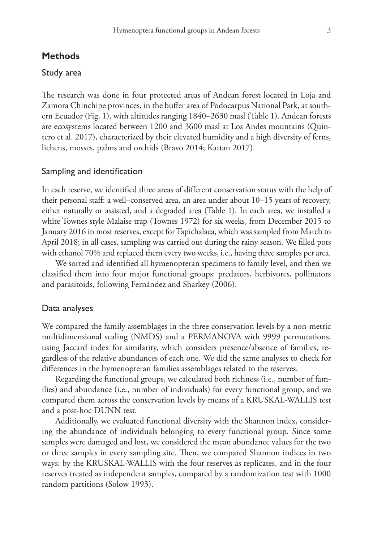## **Methods**

## Study area

The research was done in four protected areas of Andean forest located in Loja and Zamora Chinchipe provinces, in the buffer area of Podocarpus National Park, at southern Ecuador (Fig. 1), with altitudes ranging 1840–2630 masl (Table 1). Andean forests are ecosystems located between 1200 and 3600 masl at Los Andes mountains (Quintero et al. 2017), characterized by their elevated humidity and a high diversity of ferns, lichens, mosses, palms and orchids (Bravo 2014; Kattan 2017).

### Sampling and identification

In each reserve, we identified three areas of different conservation status with the help of their personal staff: a well–conserved area, an area under about 10–15 years of recovery, either naturally or assisted, and a degraded area (Table 1). In each area, we installed a white Townes style Malaise trap (Townes 1972) for six weeks, from December 2015 to January 2016 in most reserves, except for Tapichalaca, which was sampled from March to April 2018; in all cases, sampling was carried out during the rainy season. We filled pots with ethanol 70% and replaced them every two weeks, i.e., having three samples per area.

We sorted and identified all hymenopteran specimens to family level, and then we classified them into four major functional groups: predators, herbivores, pollinators and parasitoids, following Fernández and Sharkey (2006).

#### Data analyses

We compared the family assemblages in the three conservation levels by a non-metric multidimensional scaling (NMDS) and a PERMANOVA with 9999 permutations, using Jaccard index for similarity, which considers presence/absence of families, regardless of the relative abundances of each one. We did the same analyses to check for differences in the hymenopteran families assemblages related to the reserves.

Regarding the functional groups, we calculated both richness (i.e., number of families) and abundance (i.e., number of individuals) for every functional group, and we compared them across the conservation levels by means of a KRUSKAL-WALLIS test and a post-hoc DUNN test.

Additionally, we evaluated functional diversity with the Shannon index, considering the abundance of individuals belonging to every functional group. Since some samples were damaged and lost, we considered the mean abundance values for the two or three samples in every sampling site. Then, we compared Shannon indices in two ways: by the KRUSKAL-WALLIS with the four reserves as replicates, and in the four reserves treated as independent samples, compared by a randomization test with 1000 random partitions (Solow 1993).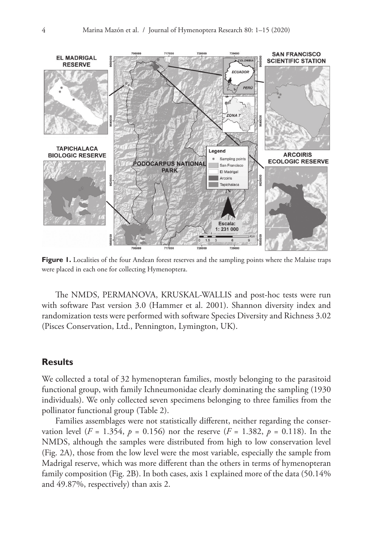

**Figure 1.** Localities of the four Andean forest reserves and the sampling points where the Malaise traps were placed in each one for collecting Hymenoptera.

The NMDS, PERMANOVA, KRUSKAL-WALLIS and post-hoc tests were run with software Past version 3.0 (Hammer et al. 2001). Shannon diversity index and randomization tests were performed with software Species Diversity and Richness 3.02 (Pisces Conservation, Ltd., Pennington, Lymington, UK).

# **Results**

We collected a total of 32 hymenopteran families, mostly belonging to the parasitoid functional group, with family Ichneumonidae clearly dominating the sampling (1930 individuals). We only collected seven specimens belonging to three families from the pollinator functional group (Table 2).

Families assemblages were not statistically different, neither regarding the conservation level ( $F = 1.354$ ,  $p = 0.156$ ) nor the reserve ( $F = 1.382$ ,  $p = 0.118$ ). In the NMDS, although the samples were distributed from high to low conservation level (Fig. 2A), those from the low level were the most variable, especially the sample from Madrigal reserve, which was more different than the others in terms of hymenopteran family composition (Fig. 2B). In both cases, axis 1 explained more of the data (50.14% and 49.87%, respectively) than axis 2.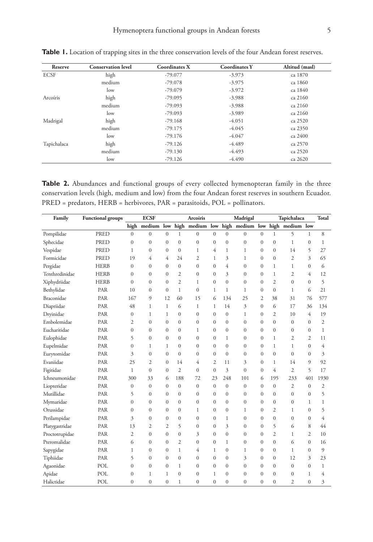| Reserve     | <b>Conservation level</b> | <b>Coordinates X</b> | <b>Coordinates Y</b> | Altitud (masl) |
|-------------|---------------------------|----------------------|----------------------|----------------|
| <b>ECSF</b> | high                      | $-79.077$            | $-3.973$             | ca 1870        |
|             | medium                    | $-79.078$            | $-3.975$             | ca 1860        |
|             | low                       | $-79.079$            | $-3.972$             | ca 1840        |
| Arcoíris    | high                      | $-79.095$            | $-3.988$             | ca 2160        |
|             | medium                    | $-79.093$            | $-3.988$             | ca 2160        |
|             | low                       | $-79.093$            | $-3.989$             | ca 2160        |
| Madrigal    | high                      | $-79.168$            | $-4.051$             | ca 2520        |
|             | medium                    | $-79.175$            | $-4.045$             | ca 2350        |
|             | low                       | $-79.176$            | $-4.047$             | ca 2400        |
| Tapichalaca | high                      | $-79.126$            | $-4.489$             | ca 2570        |
|             | medium                    | $-79.130$            | $-4.493$             | ca 2520        |
|             | low                       | $-79.126$            | $-4.490$             | ca 2620        |

Table 1. Location of trapping sites in the three conservation levels of the four Andean forest reserves.

Table 2. Abundances and functional groups of every collected hymenopteran family in the three conservation levels (high, medium and low) from the four Andean forest reserves in southern Ecuador. PRED = predators, HERB = herbivores, PAR = parasitoids, POL = pollinators.

| Family         | <b>Functional groups</b> |                | <b>ECSF</b>      |                  |                | <b>Arcoiris</b>  |                |                  | Madrigal                        |                |                | Tapichalaca    |              | Total          |
|----------------|--------------------------|----------------|------------------|------------------|----------------|------------------|----------------|------------------|---------------------------------|----------------|----------------|----------------|--------------|----------------|
|                |                          |                | high medium low  |                  |                | high medium low  |                |                  | high medium low high medium low |                |                |                |              |                |
| Pompilidae     | PRED                     | $\Omega$       | $\overline{0}$   | $\mathbf{0}$     | $\mathbf{1}$   | $\mathbf{0}$     | $\mathbf{0}$   | $\mathbf{0}$     | $\mathbf{0}$                    | $\theta$       | $\mathbf{1}$   | 5              | $\mathbf{1}$ | 8              |
| Sphecidae      | PRED                     | $\mathbf{0}$   | $\overline{0}$   | $\mathbf{0}$     | $\Omega$       | $\mathbf{0}$     | $\overline{0}$ | $\mathbf{0}$     | $\mathbf{0}$                    | $\mathbf{0}$   | $\overline{0}$ | $\mathbf{1}$   | $\mathbf{0}$ | $\mathbf{1}$   |
| Vespidae       | PRED                     | 1              | $\mathbf{0}$     | $\mathbf{0}$     | $\Omega$       | $\mathbf{1}$     | 4              | 1                | $\mathbf{1}$                    | $\mathbf{0}$   | $\mathbf{0}$   | 14             | 5            | 27             |
| Formicidae     | <b>PRED</b>              | 19             | 4                | $\overline{4}$   | 24             | $\overline{c}$   | $\mathbf{1}$   | 3                | $\mathbf{1}$                    | $\mathbf{0}$   | $\mathbf{0}$   | $\overline{c}$ | 3            | 65             |
| Pergidae       | <b>HERB</b>              | $\mathbf{0}$   | $\mathbf{0}$     | $\boldsymbol{0}$ | $\mathbf{0}$   | $\boldsymbol{0}$ | $\mathbf{0}$   | 4                | $\mathbf{0}$                    | $\mathbf{0}$   | 1              | 1              | $\mathbf{0}$ | 6              |
| Tenthredinidae | <b>HERB</b>              | $\Omega$       | $\mathbf{0}$     | $\mathbf{0}$     | $\overline{2}$ | $\mathbf{0}$     | $\mathbf{0}$   | 3                | $\mathbf{0}$                    | $\mathbf{0}$   | $\mathbf{1}$   | $\overline{2}$ | 4            | 12             |
| Xiphydriidae   | <b>HERB</b>              | $\Omega$       | $\Omega$         | $\mathbf{0}$     | $\overline{2}$ | $\mathbf{1}$     | $\overline{0}$ | $\Omega$         | $\mathbf{0}$                    | $\Omega$       | $\overline{c}$ | $\Omega$       | $\Omega$     | 5              |
| Bethylidae     | PAR                      | 10             | $\mathbf{0}$     | $\mathbf{0}$     | $\mathbf{1}$   | $\mathbf{0}$     | 1              | $\mathbf{1}$     | $\mathbf{1}$                    | $\mathbf{0}$   | $\overline{0}$ | $\mathbf{1}$   | 6            | 21             |
| Braconidae     | PAR                      | 167            | 9                | 12               | 60             | 15               | 6              | 134              | 25                              | $\overline{2}$ | 38             | 31             | 76           | 577            |
| Diapriidae     | PAR                      | 48             | 1                | $\mathbf{1}$     | 6              | $\mathbf{1}$     | 1              | 14               | 3                               | $\mathbf{0}$   | 6              | 17             | 36           | 134            |
| Dryinidae      | PAR                      | $\mathbf{0}$   | $\mathbf{1}$     | 1                | $\mathbf{0}$   | $\boldsymbol{0}$ | $\overline{0}$ | $\boldsymbol{0}$ | 1                               | $\mathbf{0}$   | $\overline{c}$ | 10             | 4            | 19             |
| Embolemidae    | PAR                      | 2              | $\mathbf{0}$     | $\mathbf{0}$     | $\mathbf{0}$   | $\mathbf{0}$     | $\mathbf{0}$   | $\mathbf{0}$     | $\mathbf{0}$                    | $\mathbf{0}$   | $\mathbf{0}$   | $\mathbf{0}$   | $\mathbf{0}$ | 2              |
| Eucharitidae   | PAR                      | $\mathbf{0}$   | $\mathbf{0}$     | $\mathbf{0}$     | $\mathbf{0}$   | $\mathbf{1}$     | $\mathbf{0}$   | $\mathbf{0}$     | $\mathbf{0}$                    | $\mathbf{0}$   | $\mathbf{0}$   | $\mathbf{0}$   | $\mathbf{0}$ | $\mathbf{1}$   |
| Eulophidae     | PAR                      | 5              | $\mathbf{0}$     | $\mathbf{0}$     | $\mathbf{0}$   | $\mathbf{0}$     | $\mathbf{0}$   | $\mathbf{1}$     | $\mathbf{0}$                    | $\mathbf{0}$   | $\mathbf{1}$   | 2              | 2            | 11             |
| Eupelmidae     | PAR                      | $\Omega$       | $\mathbf{1}$     | $\mathbf{1}$     | $\mathbf{0}$   | $\mathbf{0}$     | $\mathbf{0}$   | $\mathbf{0}$     | $\mathbf{0}$                    | $\Omega$       | $\mathbf{1}$   | $\mathbf{1}$   | $\theta$     | 4              |
| Eurytomidae    | PAR                      | 3              | $\mathbf{0}$     | $\mathbf{0}$     | $\mathbf{0}$   | $\boldsymbol{0}$ | $\mathbf{0}$   | $\mathbf{0}$     | $\mathbf{0}$                    | $\mathbf{0}$   | $\mathbf{0}$   | $\mathbf{0}$   | $\Omega$     | 3              |
| Evaniidae      | PAR                      | 25             | $\overline{2}$   | $\mathbf{0}$     | 14             | 4                | $\overline{c}$ | 11               | 3                               | $\Omega$       | $\mathbf{1}$   | 14             | 9            | 92             |
| Figitidae      | PAR                      | $\mathbf{1}$   | $\Omega$         | $\mathbf{0}$     | $\overline{2}$ | $\mathbf{0}$     | $\mathbf{0}$   | 3                | $\overline{0}$                  | $\mathbf{0}$   | $\overline{4}$ | $\overline{2}$ | 5            | 17             |
| Ichneumonidae  | PAR                      | 300            | 33               | 6                | 188            | 72               | 23             | 248              | 101                             | 6              | 195            | 233            | 401          | 1930           |
| Liopteridae    | PAR                      | $\mathbf{0}$   | $\mathbf{0}$     | $\mathbf{0}$     | $\mathbf{0}$   | $\mathbf{0}$     | $\mathbf{0}$   | $\mathbf{0}$     | $\mathbf{0}$                    | $\mathbf{0}$   | $\mathbf{0}$   | 2              | $\mathbf{0}$ | 2              |
| Mutillidae     | PAR                      | 5              | $\mathbf{0}$     | $\mathbf{0}$     | $\mathbf{0}$   | $\mathbf{0}$     | $\mathbf{0}$   | $\mathbf{0}$     | $\mathbf{0}$                    | $\mathbf{0}$   | $\mathbf{0}$   | $\mathbf{0}$   | $\Omega$     | 5              |
| Mymaridae      | PAR                      | $\theta$       | $\mathbf{0}$     | $\mathbf{0}$     | $\Omega$       | $\mathbf{0}$     | $\mathbf{0}$   | $\mathbf{0}$     | $\mathbf{0}$                    | $\overline{0}$ | $\overline{0}$ | $\mathbf{0}$   | 1            | $\mathbf{1}$   |
| Orussidae      | PAR                      | $\theta$       | $\Omega$         | $\mathbf{0}$     | $\Omega$       | $\mathbf{1}$     | $\overline{0}$ | $\mathbf{0}$     | $\mathbf{1}$                    | $\mathbf{0}$   | $\overline{2}$ | $\mathbf{1}$   | $\theta$     | 5              |
| Perilampidae   | PAR                      | 3              | $\mathbf{0}$     | $\mathbf{0}$     | $\mathbf{0}$   | $\mathbf{0}$     | $\mathbf{0}$   | 1                | $\mathbf{0}$                    | $\mathbf{0}$   | $\overline{0}$ | $\overline{0}$ | $\mathbf{0}$ | $\overline{4}$ |
| Platygastridae | PAR                      | 13             | $\overline{c}$   | $\overline{2}$   | 5              | $\mathbf{0}$     | $\mathbf{0}$   | 3                | $\mathbf{0}$                    | $\mathbf{0}$   | 5              | 6              | 8            | 44             |
| Proctotrupidae | PAR                      | $\overline{c}$ | $\mathbf{0}$     | $\mathbf{0}$     | $\mathbf{0}$   | 3                | $\mathbf{0}$   | $\mathbf{0}$     | $\mathbf{0}$                    | $\mathbf{0}$   | $\overline{c}$ | 1              | 2            | 10             |
| Pteromalidae   | PAR                      | 6              | $\mathbf{0}$     | $\mathbf{0}$     | 2              | $\mathbf{0}$     | $\mathbf{0}$   | $\mathbf{1}$     | $\mathbf{0}$                    | $\mathbf{0}$   | $\overline{0}$ | 6              | $\mathbf{0}$ | 16             |
| Sapygidae      | PAR                      | $\mathbf{1}$   | $\mathbf{0}$     | $\mathbf{0}$     | 1              | 4                | $\mathbf{1}$   | $\mathbf{0}$     | $\mathbf{1}$                    | $\Omega$       | $\theta$       | $\mathbf{1}$   | $\Omega$     | 9              |
| Tiphiidae      | PAR                      | 5              | $\overline{0}$   | $\mathbf{0}$     | $\mathbf{0}$   | $\mathbf{0}$     | $\overline{0}$ | $\mathbf{0}$     | 3                               | $\mathbf{0}$   | $\overline{0}$ | 12             | 3            | 23             |
| Agaonidae      | POL                      | $\mathbf{0}$   | $\boldsymbol{0}$ | $\mathbf{0}$     | 1              | $\mathbf{0}$     | $\mathbf{0}$   | $\boldsymbol{0}$ | $\mathbf{0}$                    | $\mathbf{0}$   | $\overline{0}$ | $\mathbf{0}$   | $\Omega$     | 1              |
| Apidae         | POL                      | $\mathbf{0}$   | $\mathbf{1}$     | $\mathbf{1}$     | $\Omega$       | $\mathbf{0}$     | 1              | $\Omega$         | $\mathbf{0}$                    | $\Omega$       | $\theta$       | $\Omega$       | $\mathbf{1}$ | 4              |
| Halictidae     | POL                      | $\mathbf{0}$   | $\mathbf{0}$     | $\mathbf{0}$     | 1              | $\mathbf{0}$     | $\mathbf{0}$   | $\mathbf{0}$     | $\mathbf{0}$                    | $\mathbf{0}$   | $\mathbf{0}$   | 2              | $\mathbf{0}$ | 3              |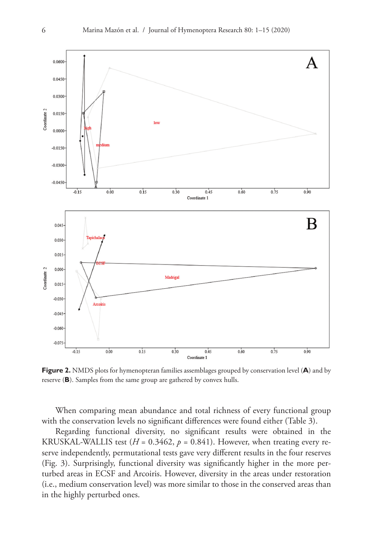

**Figure 2.** NMDS plots for hymenopteran families assemblages grouped by conservation level (**A**) and by reserve (**B**). Samples from the same group are gathered by convex hulls.

When comparing mean abundance and total richness of every functional group with the conservation levels no significant differences were found either (Table 3).

Regarding functional diversity, no significant results were obtained in the KRUSKAL-WALLIS test ( $H = 0.3462$ ,  $p = 0.841$ ). However, when treating every reserve independently, permutational tests gave very different results in the four reserves (Fig. 3). Surprisingly, functional diversity was significantly higher in the more perturbed areas in ECSF and Arcoiris. However, diversity in the areas under restoration (i.e., medium conservation level) was more similar to those in the conserved areas than in the highly perturbed ones.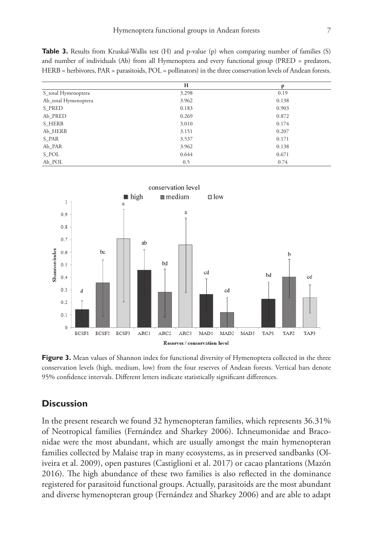**Table 3.** Results from Kruskal-Wallis test (H) and p-value (p) when comparing number of families (S) and number of individuals (Ab) from all Hymenoptera and every functional group (PRED = predators, HERB = herbivores, PAR = parasitoids, POL = pollinators) in the three conservation levels of Andean forests.

|                      | H     | p     |
|----------------------|-------|-------|
| S_total Hymenoptera  | 3.298 | 0.19  |
| Ab_total Hymenoptera | 3.962 | 0.138 |
| S PRED               | 0.183 | 0.903 |
| Ab PRED              | 0.269 | 0.872 |
| S HERB               | 3.010 | 0.174 |
| Ab HERB              | 3.151 | 0.207 |
| S_PAR                | 3.537 | 0.171 |
| Ab_PAR               | 3.962 | 0.138 |
| S_POL                | 0.644 | 0.671 |
| Ab POL               | 0.5   | 0.74  |



Figure 3. Mean values of Shannon index for functional diversity of Hymenoptera collected in the three conservation levels (high, medium, low) from the four reserves of Andean forests. Vertical bars denote 95% confidence intervals. Different letters indicate statistically significant differences.

# **Discussion**

In the present research we found 32 hymenopteran families, which represents 36.31% of Neotropical families (Fernández and Sharkey 2006). Ichneumonidae and Braconidae were the most abundant, which are usually amongst the main hymenopteran families collected by Malaise trap in many ecosystems, as in preserved sandbanks (Oliveira et al. 2009), open pastures (Castiglioni et al. 2017) or cacao plantations (Mazón 2016). The high abundance of these two families is also reflected in the dominance registered for parasitoid functional groups. Actually, parasitoids are the most abundant and diverse hymenopteran group (Fernández and Sharkey 2006) and are able to adapt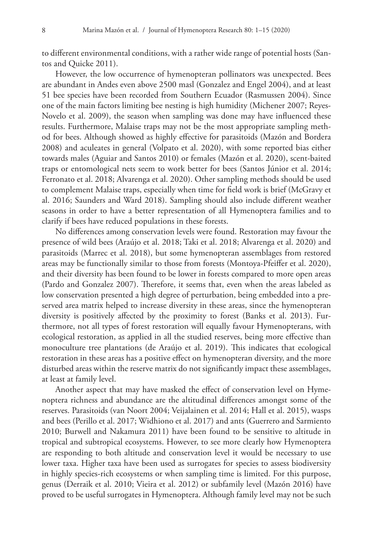to different environmental conditions, with a rather wide range of potential hosts (Santos and Quicke 2011).

However, the low occurrence of hymenopteran pollinators was unexpected. Bees are abundant in Andes even above 2500 masl (Gonzalez and Engel 2004), and at least 51 bee species have been recorded from Southern Ecuador (Rasmussen 2004). Since one of the main factors limiting bee nesting is high humidity (Michener 2007; Reyes-Novelo et al. 2009), the season when sampling was done may have influenced these results. Furthermore, Malaise traps may not be the most appropriate sampling method for bees. Although showed as highly effective for parasitoids (Mazón and Bordera 2008) and aculeates in general (Volpato et al. 2020), with some reported bias either towards males (Aguiar and Santos 2010) or females (Mazón et al. 2020), scent-baited traps or entomological nets seem to work better for bees (Santos Júnior et al. 2014; Ferronato et al. 2018; Alvarenga et al. 2020). Other sampling methods should be used to complement Malaise traps, especially when time for field work is brief (McGravy et al. 2016; Saunders and Ward 2018). Sampling should also include different weather seasons in order to have a better representation of all Hymenoptera families and to clarify if bees have reduced populations in these forests.

No differences among conservation levels were found. Restoration may favour the presence of wild bees (Araújo et al. 2018; Taki et al. 2018; Alvarenga et al. 2020) and parasitoids (Marrec et al. 2018), but some hymenopteran assemblages from restored areas may be functionally similar to those from forests (Montoya-Pfeiffer et al. 2020), and their diversity has been found to be lower in forests compared to more open areas (Pardo and Gonzalez 2007). Therefore, it seems that, even when the areas labeled as low conservation presented a high degree of perturbation, being embedded into a preserved area matrix helped to increase diversity in these areas, since the hymenopteran diversity is positively affected by the proximity to forest (Banks et al. 2013). Furthermore, not all types of forest restoration will equally favour Hymenopterans, with ecological restoration, as applied in all the studied reserves, being more effective than monoculture tree plantations (de Araújo et al. 2019). This indicates that ecological restoration in these areas has a positive effect on hymenopteran diversity, and the more disturbed areas within the reserve matrix do not significantly impact these assemblages, at least at family level.

Another aspect that may have masked the effect of conservation level on Hymenoptera richness and abundance are the altitudinal differences amongst some of the reserves. Parasitoids (van Noort 2004; Veijalainen et al. 2014; Hall et al. 2015), wasps and bees (Perillo et al. 2017; Widhiono et al. 2017) and ants (Guerrero and Sarmiento 2010; Burwell and Nakamura 2011) have been found to be sensitive to altitude in tropical and subtropical ecosystems. However, to see more clearly how Hymenoptera are responding to both altitude and conservation level it would be necessary to use lower taxa. Higher taxa have been used as surrogates for species to assess biodiversity in highly species-rich ecosystems or when sampling time is limited. For this purpose, genus (Derraik et al. 2010; Vieira et al. 2012) or subfamily level (Mazón 2016) have proved to be useful surrogates in Hymenoptera. Although family level may not be such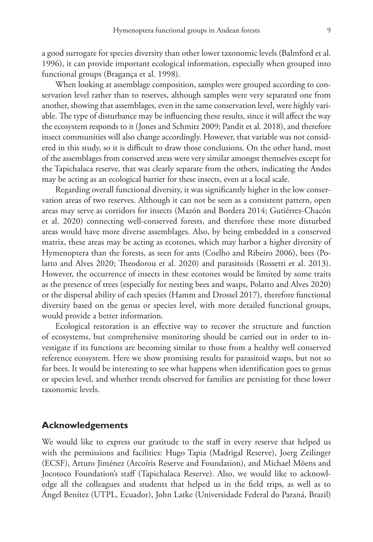a good surrogate for species diversity than other lower taxonomic levels (Balmford et al. 1996), it can provide important ecological information, especially when grouped into functional groups (Bragança et al. 1998).

When looking at assemblage composition, samples were grouped according to conservation level rather than to reserves, although samples were very separated one from another, showing that assemblages, even in the same conservation level, were highly variable. The type of disturbance may be influencing these results, since it will affect the way the ecosystem responds to it (Jones and Schmitz 2009; Pandit et al. 2018), and therefore insect communities will also change accordingly. However, that variable was not considered in this study, so it is difficult to draw those conclusions. On the other hand, most of the assemblages from conserved areas were very similar amongst themselves except for the Tapichalaca reserve, that was clearly separate from the others, indicating the Andes may be acting as an ecological barrier for these insects, even at a local scale.

Regarding overall functional diversity, it was significantly higher in the low conservation areas of two reserves. Although it can not be seen as a consistent pattern, open areas may serve as corridors for insects (Mazón and Bordera 2014; Gutiérrez-Chacón et al. 2020) connecting well-conserved forests, and therefore these more disturbed areas would have more diverse assemblages. Also, by being embedded in a conserved matrix, these areas may be acting as ecotones, which may harbor a higher diversity of Hymenoptera than the forests, as seen for ants (Coelho and Ribeiro 2006), bees (Polatto and Alves 2020; Theodorou et al. 2020) and parasitoids (Rossetti et al. 2013). However, the occurrence of insects in these ecotones would be limited by some traits as the presence of trees (especially for nesting bees and wasps, Polatto and Alves 2020) or the dispersal ability of each species (Hamm and Drossel 2017), therefore functional diversity based on the genus or species level, with more detailed functional groups, would provide a better information.

Ecological restoration is an effective way to recover the structure and function of ecosystems, but comprehensive monitoring should be carried out in order to investigate if its functions are becoming similar to those from a healthy well conserved reference ecosystem. Here we show promising results for parasitoid wasps, but not so for bees. It would be interesting to see what happens when identification goes to genus or species level, and whether trends observed for families are persisting for these lower taxonomic levels.

### **Acknowledgements**

We would like to express our gratitude to the staff in every reserve that helped us with the permissions and facilities: Hugo Tapia (Madrigal Reserve), Joerg Zeilinger (ECSF), Arturo Jiménez (Arcoíris Reserve and Foundation), and Michael Möens and Jocotoco Foundation's staff (Tapichalaca Reserve). Also, we would like to acknowledge all the colleagues and students that helped us in the field trips, as well as to Ángel Benítez (UTPL, Ecuador), John Latke (Universidade Federal do Paraná, Brazil)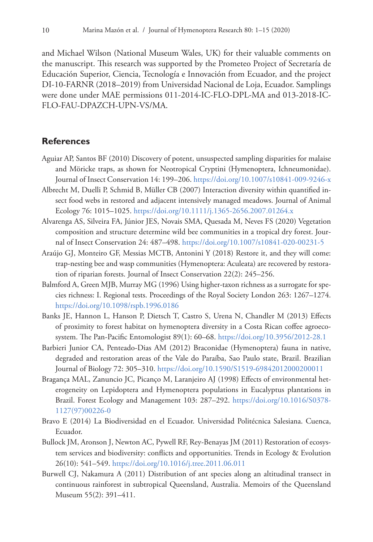and Michael Wilson (National Museum Wales, UK) for their valuable comments on the manuscript. This research was supported by the Prometeo Project of Secretaría de Educación Superior, Ciencia, Tecnología e Innovación from Ecuador, and the project DI-10-FARNR (2018–2019) from Universidad Nacional de Loja, Ecuador. Samplings were done under MAE permissions 011-2014-IC-FLO-DPL-MA and 013-2018-IC-FLO-FAU-DPAZCH-UPN-VS/MA.

# **References**

- Aguiar AP, Santos BF (2010) Discovery of potent, unsuspected sampling disparities for malaise and Möricke traps, as shown for Neotropical Cryptini (Hymenoptera, Ichneumonidae). Journal of Insect Conservation 14: 199–206.<https://doi.org/10.1007/s10841-009-9246-x>
- Albrecht M, Duelli P, Schmid B, Müller CB (2007) Interaction diversity within quantified insect food webs in restored and adjacent intensively managed meadows. Journal of Animal Ecology 76: 1015–1025. <https://doi.org/10.1111/j.1365-2656.2007.01264.x>
- Alvarenga AS, Silveira FA, Júnior JES, Novais SMA, Quesada M, Neves FS (2020) Vegetation composition and structure determine wild bee communities in a tropical dry forest. Journal of Insect Conservation 24: 487–498. <https://doi.org/10.1007/s10841-020-00231-5>
- Araújo GJ, Monteiro GF, Messias MCTB, Antonini Y (2018) Restore it, and they will come: trap-nesting bee and wasp communities (Hymenoptera: Aculeata) are recovered by restoration of riparian forests. Journal of Insect Conservation 22(2): 245–256.
- Balmford A, Green MJB, Murray MG (1996) Using higher-taxon richness as a surrogate for species richness: I. Regional tests. Proceedings of the Royal Society London 263: 1267–1274. <https://doi.org/10.1098/rspb.1996.0186>
- Banks JE, Hannon L, Hanson P, Dietsch T, Castro S, Urena N, Chandler M (2013) Effects of proximity to forest habitat on hymenoptera diversity in a Costa Rican coffee agroecosystem. The Pan-Pacific Entomologist 89(1): 60–68. <https://doi.org/10.3956/2012-28.1>
- Barbieri Junior CA, Penteado-Dias AM (2012) Braconidae (Hymenoptera) fauna in native, degraded and restoration areas of the Vale do Paraíba, Sao Paulo state, Brazil. Brazilian Journal of Biology 72: 305–310.<https://doi.org/10.1590/S1519-69842012000200011>
- Bragança MAL, Zanuncio JC, Picanço M, Laranjeiro AJ (1998) Effects of environmental heterogeneity on Lepidoptera and Hymenoptera populations in Eucalyptus plantations in Brazil. Forest Ecology and Management 103: 287–292. [https://doi.org/10.1016/S0378-](https://doi.org/10.1016/S0378-1127(97)00226-0) [1127\(97\)00226-0](https://doi.org/10.1016/S0378-1127(97)00226-0)
- Bravo E (2014) La Biodiversidad en el Ecuador. Universidad Politécnica Salesiana. Cuenca, Ecuador.
- Bullock JM, Aronson J, Newton AC, Pywell RF, Rey-Benayas JM (2011) Restoration of ecosystem services and biodiversity: conflicts and opportunities. Trends in Ecology & Evolution 26(10): 541–549. <https://doi.org/10.1016/j.tree.2011.06.011>
- Burwell CJ, Nakamura A (2011) Distribution of ant species along an altitudinal transect in continuous rainforest in subtropical Queensland, Australia. Memoirs of the Queensland Museum 55(2): 391–411.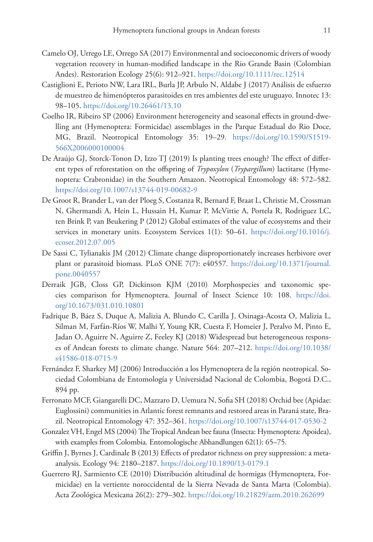- Camelo OJ, Urrego LE, Orrego SA (2017) Environmental and socioeconomic drivers of woody vegetation recovery in human-modified landscape in the Rio Grande Basin (Colombian Andes). Restoration Ecology 25(6): 912–921.<https://doi.org/10.1111/rec.12514>
- Castiglioni E, Perioto NW, Lara IRL, Burla JP, Arbulo N, Aldabe J (2017) Análisis de esfuerzo de muestreo de himenópteros parasitoides en tres ambientes del este uruguayo. Innotec 13: 98–105.<https://doi.org/10.26461/13.10>
- Coelho IR, Ribeiro SP (2006) Environment heterogeneity and seasonal effects in ground-dwelling ant (Hymenoptera: Formicidae) assemblages in the Parque Estadual do Rio Doce, MG, Brazil. Neotropical Entomology 35: 19–29. [https://doi.org/10.1590/S1519-](https://doi.org/10.1590/S1519-566X2006000100004) [566X2006000100004](https://doi.org/10.1590/S1519-566X2006000100004)
- De Araújo GJ, Storck-Tonon D, Izzo TJ (2019) Is planting trees enough? The effect of different types of reforestation on the offspring of *Trypoxylon* (*Trypargillum*) lactitarse (Hymenoptera: Crabronidae) in the Southern Amazon. Neotropical Entomology 48: 572–582. <https://doi.org/10.1007/s13744-019-00682-9>
- De Groot R, Brander L, van der Ploeg S, Costanza R, Bernard F, Braat L, Christie M, Crossman N, Ghermandi A, Hein L, Hussain H, Kumar P, McVittie A, Portela R, Rodriguez LC, ten Brink P, van Beukering P (2012) Global estimates of the value of ecosystems and their services in monetary units. Ecosystem Services 1(1): 50–61. [https://doi.org/10.1016/j.](https://doi.org/10.1016/j.ecoser.2012.07.005) [ecoser.2012.07.005](https://doi.org/10.1016/j.ecoser.2012.07.005)
- De Sassi C, Tylianakis JM (2012) Climate change disproportionately increases herbivore over plant or parasitoid biomass. PLoS ONE 7(7): e40557. [https://doi.org/10.1371/journal.](https://doi.org/10.1371/journal.pone.0040557) [pone.0040557](https://doi.org/10.1371/journal.pone.0040557)
- Derraik JGB, Closs GP, Dickinson KJM (2010) Morphospecies and taxonomic species comparison for Hymenoptera. Journal of Insect Science 10: 108. [https://doi.](https://doi.org/10.1673/031.010.10801) [org/10.1673/031.010.10801](https://doi.org/10.1673/031.010.10801)
- Fadrique B, Báez S, Duque A, Malizia A, Blundo C, Carilla J, Osinaga-Acosta O, Malizia L, Silman M, Farfán-Ríos W, Malhi Y, Young KR, Cuesta F, Homeier J, Peralvo M, Pinto E, Jadan O, Aguirre N, Aguirre Z, Feeley KJ (2018) Widespread but heterogeneous responses of Andean forests to climate change. Nature 564: 207–212. [https://doi.org/10.1038/](https://doi.org/10.1038/s41586-018-0715-9) [s41586-018-0715-9](https://doi.org/10.1038/s41586-018-0715-9)
- Fernández F, Sharkey MJ (2006) Introducción a los Hymenoptera de la región neotropical. Sociedad Colombiana de Entomología y Universidad Nacional de Colombia, Bogotá D.C., 894 pp.
- Ferronato MCF, Giangarelli DC, Mazzaro D, Uemura N, Sofia SH (2018) Orchid bee (Apidae: Euglossini) communities in Atlantic forest remnants and restored areas in Paraná state, Brazil. Neotropical Entomology 47: 352–361. <https://doi.org/10.1007/s13744-017-0530-2>
- Gonzalez VH, Engel MS (2004) The Tropical Andean bee fauna (Insecta: Hymenoptera: Apoidea), with examples from Colombia. Entomologische Abhandlungen 62(1): 65–75.
- Griffin J, Byrnes J, Cardinale B (2013) Effects of predator richness on prey suppression: a metaanalysis. Ecology 94: 2180–2187. <https://doi.org/10.1890/13-0179.1>
- Guerrero RJ, Sarmiento CE (2010) Distribución altitudinal de hormigas (Hymenoptera, Formicidae) en la vertiente noroccidental de la Sierra Nevada de Santa Marta (Colombia). Acta Zoológica Mexicana 26(2): 279–302.<https://doi.org/10.21829/azm.2010.262699>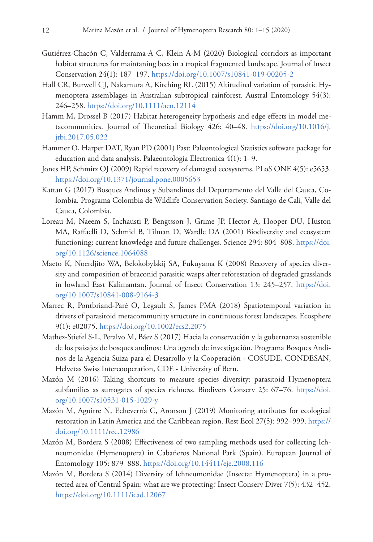- Gutiérrez-Chacón C, Valderrama-A C, Klein A-M (2020) Biological corridors as important habitat structures for maintaning bees in a tropical fragmented landscape. Journal of Insect Conservation 24(1): 187–197.<https://doi.org/10.1007/s10841-019-00205-2>
- Hall CR, Burwell CJ, Nakamura A, Kitching RL (2015) Altitudinal variation of parasitic Hymenoptera assemblages in Australian subtropical rainforest. Austral Entomology 54(3): 246–258.<https://doi.org/10.1111/aen.12114>
- Hamm M, Drossel B (2017) Habitat heterogeneity hypothesis and edge effects in model metacommunities. Journal of Theoretical Biology 426: 40–48. [https://doi.org/10.1016/j.](https://doi.org/10.1016/j.jtbi.2017.05.022) [jtbi.2017.05.022](https://doi.org/10.1016/j.jtbi.2017.05.022)
- Hammer O, Harper DAT, Ryan PD (2001) Past: Paleontological Statistics software package for education and data analysis. Palaeontologia Electronica 4(1): 1–9.
- Jones HP, Schmitz OJ (2009) Rapid recovery of damaged ecosystems. PLoS ONE 4(5): e5653. <https://doi.org/10.1371/journal.pone.0005653>
- Kattan G (2017) Bosques Andinos y Subandinos del Departamento del Valle del Cauca, Colombia. Programa Colombia de Wildlife Conservation Society. Santiago de Cali, Valle del Cauca, Colombia.
- Loreau M, Naeem S, Inchausti P, Bengtsson J, Grime JP, Hector A, Hooper DU, Huston MA, Raffaelli D, Schmid B, Tilman D, Wardle DA (2001) Biodiversity and ecosystem functioning: current knowledge and future challenges. Science 294: 804–808. [https://doi.](https://doi.org/10.1126/science.1064088) [org/10.1126/science.1064088](https://doi.org/10.1126/science.1064088)
- Maeto K, Noerdjito WA, Belokobylskij SA, Fukuyama K (2008) Recovery of species diversity and composition of braconid parasitic wasps after reforestation of degraded grasslands in lowland East Kalimantan. Journal of Insect Conservation 13: 245–257. [https://doi.](https://doi.org/10.1007/s10841-008-9164-3) [org/10.1007/s10841-008-9164-3](https://doi.org/10.1007/s10841-008-9164-3)
- Marrec R, Pontbriand-Paré O, Legault S, James PMA (2018) Spatiotemporal variation in drivers of parasitoid metacommunity structure in continuous forest landscapes. Ecosphere 9(1): e02075. <https://doi.org/10.1002/ecs2.2075>
- Mathez-Stiefel S-L, Peralvo M, Báez S (2017) Hacia la conservación y la gobernanza sostenible de los paisajes de bosques andinos: Una agenda de investigación. Programa Bosques Andinos de la Agencia Suiza para el Desarrollo y la Cooperación - COSUDE, CONDESAN, Helvetas Swiss Intercooperation, CDE - University of Bern.
- Mazón M (2016) Taking shortcuts to measure species diversity: parasitoid Hymenoptera subfamilies as surrogates of species richness. Biodivers Conserv 25: 67–76. [https://doi.](https://doi.org/10.1007/s10531-015-1029-y) [org/10.1007/s10531-015-1029-y](https://doi.org/10.1007/s10531-015-1029-y)
- Mazón M, Aguirre N, Echeverría C, Aronson J (2019) Monitoring attributes for ecological restoration in Latin America and the Caribbean region. Rest Ecol 27(5): 992–999. [https://](https://doi.org/10.1111/rec.12986) [doi.org/10.1111/rec.12986](https://doi.org/10.1111/rec.12986)
- Mazón M, Bordera S (2008) Effectiveness of two sampling methods used for collecting Ichneumonidae (Hymenoptera) in Cabañeros National Park (Spain). European Journal of Entomology 105: 879–888. <https://doi.org/10.14411/eje.2008.116>
- Mazón M, Bordera S (2014) Diversity of Ichneumonidae (Insecta: Hymenoptera) in a protected area of Central Spain: what are we protecting? Insect Conserv Diver 7(5): 432–452. <https://doi.org/10.1111/icad.12067>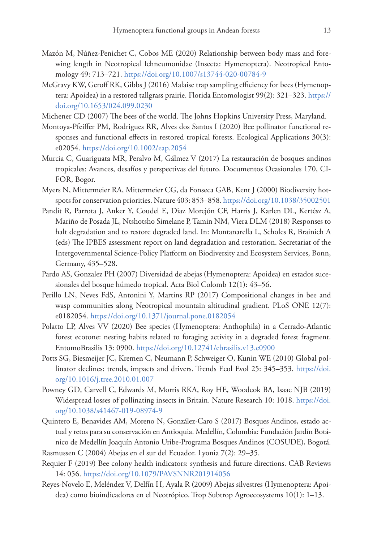- Mazón M, Núñez-Penichet C, Cobos ME (2020) Relationship between body mass and forewing length in Neotropical Ichneumonidae (Insecta: Hymenoptera). Neotropical Entomology 49: 713–721. <https://doi.org/10.1007/s13744-020-00784-9>
- McGravy KW, Geroff RK, Gibbs J (2016) Malaise trap sampling efficiency for bees (Hymenoptera: Apoidea) in a restored tallgrass prairie. Florida Entomologist 99(2): 321–323. [https://](https://doi.org/10.1653/024.099.0230) [doi.org/10.1653/024.099.0230](https://doi.org/10.1653/024.099.0230)
- Michener CD (2007) The bees of the world. The Johns Hopkins University Press, Maryland.
- Montoya-Pfeiffer PM, Rodrigues RR, Alves dos Santos I (2020) Bee pollinator functional responses and functional effects in restored tropical forests. Ecological Applications 30(3): e02054.<https://doi.org/10.1002/eap.2054>
- Murcia C, Guariguata MR, Peralvo M, Gálmez V (2017) La restauración de bosques andinos tropicales: Avances, desafíos y perspectivas del futuro. Documentos Ocasionales 170, CI-FOR, Bogor.
- Myers N, Mittermeier RA, Mittermeier CG, da Fonseca GAB, Kent J (2000) Biodiversity hotspots for conservation priorities. Nature 403: 853–858.<https://doi.org/10.1038/35002501>
- Pandit R, Parrota J, Anker Y, Coudel E, Diaz Morejón CF, Harris J, Karlen DL, Kertész A, Mariño de Posada JL, Ntshotsho Simelane P, Tamin NM, Viera DLM (2018) Responses to halt degradation and to restore degraded land. In: Montanarella L, Scholes R, Brainich A (eds) The IPBES assessment report on land degradation and restoration. Secretariat of the Intergovernmental Science-Policy Platform on Biodiversity and Ecosystem Services, Bonn, Germany, 435–528.
- Pardo AS, Gonzalez PH (2007) Diversidad de abejas (Hymenoptera: Apoidea) en estados sucesionales del bosque húmedo tropical. Acta Biol Colomb 12(1): 43–56.
- Perillo LN, Neves FdS, Antonini Y, Martins RP (2017) Compositional changes in bee and wasp communities along Neotropical mountain altitudinal gradient. PLoS ONE 12(7): e0182054.<https://doi.org/10.1371/journal.pone.0182054>
- Polatto LP, Alves VV (2020) Bee species (Hymenoptera: Anthophila) in a Cerrado-Atlantic forest ecotone: nesting habits related to foraging activity in a degraded forest fragment. EntomoBrasilis 13: 0900.<https://doi.org/10.12741/ebrasilis.v13.e0900>
- Potts SG, Biesmeijer JC, Kremen C, Neumann P, Schweiger O, Kunin WE (2010) Global pollinator declines: trends, impacts and drivers. Trends Ecol Evol 25: 345–353. [https://doi.](https://doi.org/10.1016/j.tree.2010.01.007) [org/10.1016/j.tree.2010.01.007](https://doi.org/10.1016/j.tree.2010.01.007)
- Powney GD, Carvell C, Edwards M, Morris RKA, Roy HE, Woodcok BA, Isaac NJB (2019) Widespread losses of pollinating insects in Britain. Nature Research 10: 1018. [https://doi.](https://doi.org/10.1038/s41467-019-08974-9) [org/10.1038/s41467-019-08974-9](https://doi.org/10.1038/s41467-019-08974-9)
- Quintero E, Benavides AM, Moreno N, González-Caro S (2017) Bosques Andinos, estado actual y retos para su conservación en Antioquia. Medellín, Colombia: Fundación Jardín Botánico de Medellín Joaquín Antonio Uribe-Programa Bosques Andinos (COSUDE), Bogotá.
- Rasmussen C (2004) Abejas en el sur del Ecuador. Lyonia 7(2): 29–35.
- Requier F (2019) Bee colony health indicators: synthesis and future directions. CAB Reviews 14: 056.<https://doi.org/10.1079/PAVSNNR201914056>
- Reyes-Novelo E, Meléndez V, Delfín H, Ayala R (2009) Abejas silvestres (Hymenoptera: Apoidea) como bioindicadores en el Neotrópico. Trop Subtrop Agroecosystems 10(1): 1–13.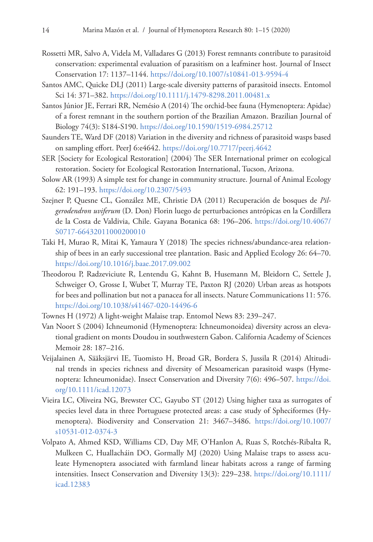- Rossetti MR, Salvo A, Videla M, Valladares G (2013) Forest remnants contribute to parasitoid conservation: experimental evaluation of parasitism on a leafminer host. Journal of Insect Conservation 17: 1137–1144. <https://doi.org/10.1007/s10841-013-9594-4>
- Santos AMC, Quicke DLJ (2011) Large-scale diversity patterns of parasitoid insects. Entomol Sci 14: 371–382.<https://doi.org/10.1111/j.1479-8298.2011.00481.x>
- Santos Júnior JE, Ferrari RR, Nemésio A (2014) The orchid-bee fauna (Hymenoptera: Apidae) of a forest remnant in the southern portion of the Brazilian Amazon. Brazilian Journal of Biology 74(3): S184-S190. <https://doi.org/10.1590/1519-6984.25712>
- Saunders TE, Ward DF (2018) Variation in the diversity and richness of parasitoid wasps based on sampling effort. PeerJ 6:e4642. <https://doi.org/10.7717/peerj.4642>
- SER [Society for Ecological Restoration] (2004) The SER International primer on ecological restoration. Society for Ecological Restoration International, Tucson, Arizona.
- Solow AR (1993) A simple test for change in community structure. Journal of Animal Ecology 62: 191–193.<https://doi.org/10.2307/5493>
- Szejner P, Quesne CL, González ME, Christie DA (2011) Recuperación de bosques de *Pilgerodendron uviferum* (D. Don) Florin luego de perturbaciones antrópicas en la Cordillera de la Costa de Valdivia, Chile. Gayana Botanica 68: 196–206. [https://doi.org/10.4067/](https://doi.org/10.4067/S0717-66432011000200010) [S0717-66432011000200010](https://doi.org/10.4067/S0717-66432011000200010)
- Taki H, Murao R, Mitai K, Yamaura Y (2018) The species richness/abundance-area relationship of bees in an early successional tree plantation. Basic and Applied Ecology 26: 64–70. <https://doi.org/10.1016/j.baae.2017.09.002>
- Theodorou P, Radzeviciute R, Lentendu G, Kahnt B, Husemann M, Bleidorn C, Settele J, Schweiger O, Grosse I, Wubet T, Murray TE, Paxton RJ (2020) Urban areas as hotspots for bees and pollination but not a panacea for all insects. Nature Communications 11: 576. <https://doi.org/10.1038/s41467-020-14496-6>
- Townes H (1972) A light-weight Malaise trap. Entomol News 83: 239–247.
- Van Noort S (2004) Ichneumonid (Hymenoptera: Ichneumonoidea) diversity across an elevational gradient on monts Doudou in southwestern Gabon. California Academy of Sciences Memoir 28: 187–216.
- Veijalainen A, Sääksjärvi IE, Tuomisto H, Broad GR, Bordera S, Jussila R (2014) Altitudinal trends in species richness and diversity of Mesoamerican parasitoid wasps (Hymenoptera: Ichneumonidae). Insect Conservation and Diversity 7(6): 496–507. [https://doi.](https://doi.org/10.1111/icad.12073) [org/10.1111/icad.12073](https://doi.org/10.1111/icad.12073)
- Vieira LC, Oliveira NG, Brewster CC, Gayubo ST (2012) Using higher taxa as surrogates of species level data in three Portuguese protected areas: a case study of Spheciformes (Hymenoptera). Biodiversity and Conservation 21: 3467–3486. [https://doi.org/10.1007/](https://doi.org/10.1007/s10531-012-0374-3) [s10531-012-0374-3](https://doi.org/10.1007/s10531-012-0374-3)
- Volpato A, Ahmed KSD, Williams CD, Day MF, O'Hanlon A, Ruas S, Rotchés-Ribalta R, Mulkeen C, Huallacháin DO, Gormally MJ (2020) Using Malaise traps to assess aculeate Hymenoptera associated with farmland linear habitats across a range of farming intensities. Insect Conservation and Diversity 13(3): 229–238. [https://doi.org/10.1111/](https://doi.org/10.1111/icad.12383) [icad.12383](https://doi.org/10.1111/icad.12383)